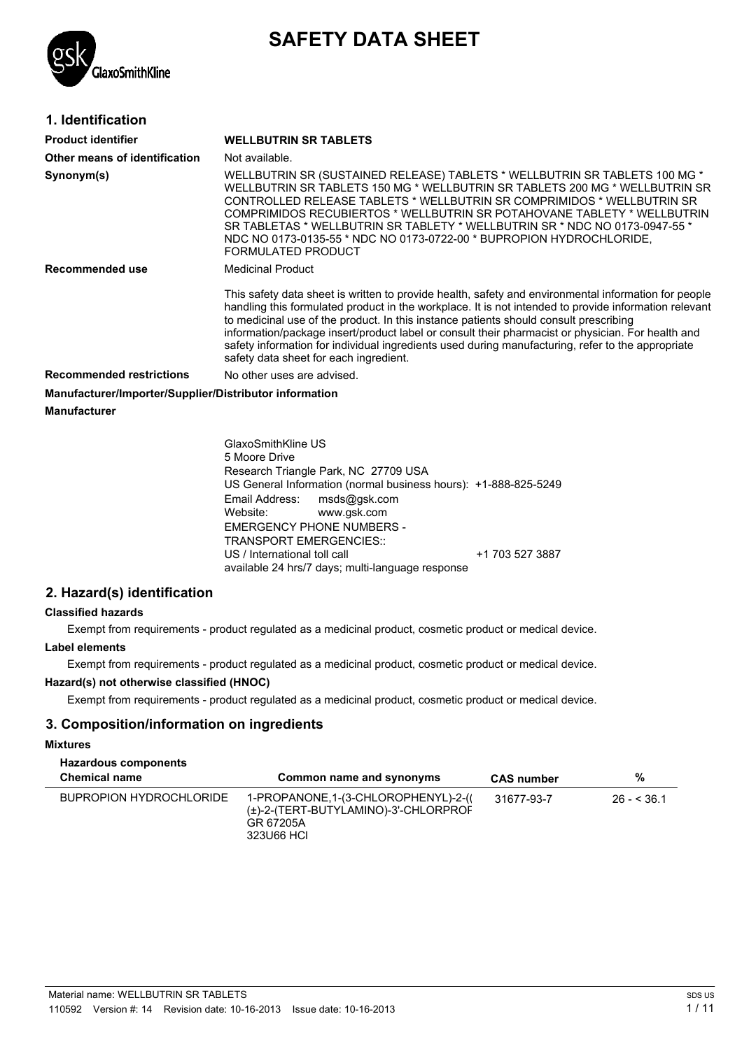# **SAFETY DATA SHEET**



### **1. Identification**

| <b>Product identifier</b>                              | <b>WELLBUTRIN SR TABLETS</b>                                                                                                                                                                                                                                                                                                                                                                                                                                                                                                                               |
|--------------------------------------------------------|------------------------------------------------------------------------------------------------------------------------------------------------------------------------------------------------------------------------------------------------------------------------------------------------------------------------------------------------------------------------------------------------------------------------------------------------------------------------------------------------------------------------------------------------------------|
| Other means of identification                          | Not available.                                                                                                                                                                                                                                                                                                                                                                                                                                                                                                                                             |
| Synonym(s)                                             | WELLBUTRIN SR (SUSTAINED RELEASE) TABLETS * WELLBUTRIN SR TABLETS 100 MG *<br>WELLBUTRIN SR TABLETS 150 MG * WELLBUTRIN SR TABLETS 200 MG * WELLBUTRIN SR<br>CONTROLLED RELEASE TABLETS * WELLBUTRIN SR COMPRIMIDOS * WELLBUTRIN SR<br>COMPRIMIDOS RECUBIERTOS * WELLBUTRIN SR POTAHOVANE TABLETY * WELLBUTRIN<br>SR TABLETAS * WELLBUTRIN SR TABLETY * WELLBUTRIN SR * NDC NO 0173-0947-55 *<br>NDC NO 0173-0135-55 * NDC NO 0173-0722-00 * BUPROPION HYDROCHLORIDE,<br>FORMULATED PRODUCT                                                                |
| Recommended use                                        | <b>Medicinal Product</b>                                                                                                                                                                                                                                                                                                                                                                                                                                                                                                                                   |
|                                                        | This safety data sheet is written to provide health, safety and environmental information for people<br>handling this formulated product in the workplace. It is not intended to provide information relevant<br>to medicinal use of the product. In this instance patients should consult prescribing<br>information/package insert/product label or consult their pharmacist or physician. For health and<br>safety information for individual ingredients used during manufacturing, refer to the appropriate<br>safety data sheet for each ingredient. |
| <b>Recommended restrictions</b>                        | No other uses are advised.                                                                                                                                                                                                                                                                                                                                                                                                                                                                                                                                 |
| Manufacturer/Importer/Supplier/Distributor information |                                                                                                                                                                                                                                                                                                                                                                                                                                                                                                                                                            |
| Manufacturer                                           |                                                                                                                                                                                                                                                                                                                                                                                                                                                                                                                                                            |

GlaxoSmithKline US 5 Moore Drive Research Triangle Park, NC 27709 USA US General Information (normal business hours): +1-888-825-5249 Email Address: msds@gsk.com<br>Website: www.qsk.com www.gsk.com EMERGENCY PHONE NUMBERS - TRANSPORT EMERGENCIES:: US / International toll call +1 703 527 3887 available 24 hrs/7 days; multi-language response

### **2. Hazard(s) identification**

### **Classified hazards**

Exempt from requirements - product regulated as a medicinal product, cosmetic product or medical device.

### **Label elements**

Exempt from requirements - product regulated as a medicinal product, cosmetic product or medical device.

### **Hazard(s) not otherwise classified (HNOC)**

Exempt from requirements - product regulated as a medicinal product, cosmetic product or medical device.

### **3. Composition/information on ingredients**

#### **Mixtures**

| <b>Hazardous components</b><br><b>Chemical name</b> | Common name and synonyms                                                                                | <b>CAS number</b> | %           |
|-----------------------------------------------------|---------------------------------------------------------------------------------------------------------|-------------------|-------------|
| BUPROPION HYDROCHLORIDE                             | 1-PROPANONE, 1-(3-CHLOROPHENYL)-2-((<br>(±)-2-(TERT-BUTYLAMINO)-3'-CHLORPROF<br>GR 67205A<br>323U66 HCL | 31677-93-7        | $26 - 36.1$ |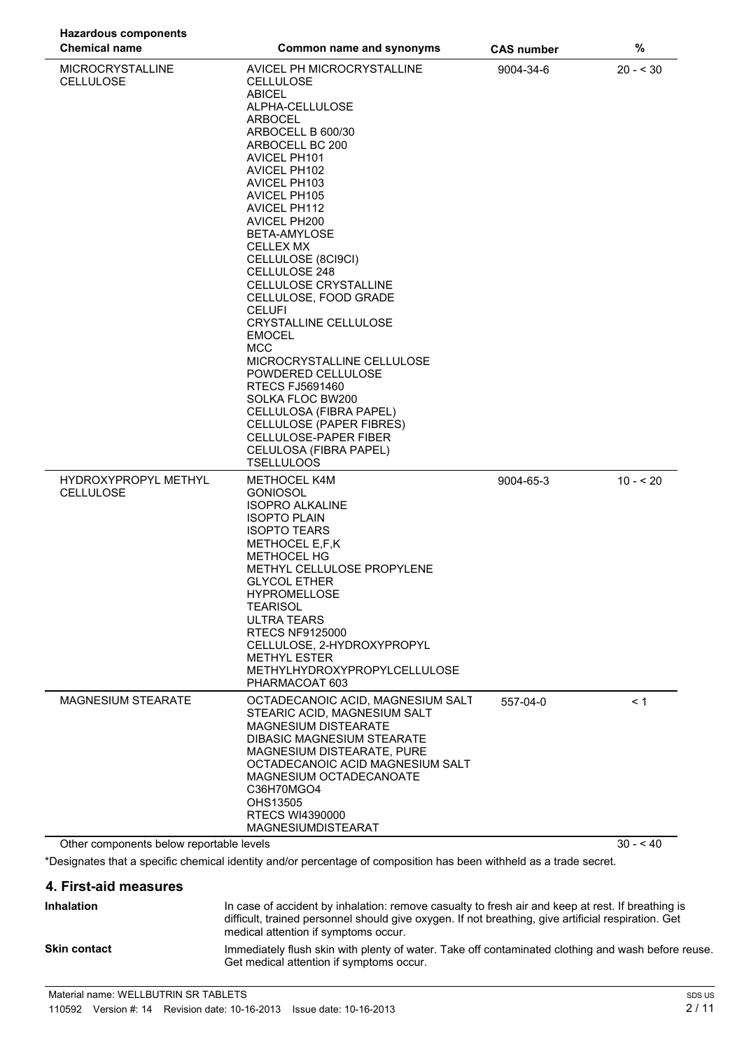| <b>Hazardous components</b>                 |                                                                                                                                                                                                                                                                                                                                                                                                                                                                                                                                                                                                                                                                                                                        |                   |            |
|---------------------------------------------|------------------------------------------------------------------------------------------------------------------------------------------------------------------------------------------------------------------------------------------------------------------------------------------------------------------------------------------------------------------------------------------------------------------------------------------------------------------------------------------------------------------------------------------------------------------------------------------------------------------------------------------------------------------------------------------------------------------------|-------------------|------------|
| <b>Chemical name</b>                        | Common name and synonyms                                                                                                                                                                                                                                                                                                                                                                                                                                                                                                                                                                                                                                                                                               | <b>CAS number</b> | $\%$       |
| <b>MICROCRYSTALLINE</b><br><b>CELLULOSE</b> | AVICEL PH MICROCRYSTALLINE<br><b>CELLULOSE</b><br><b>ABICEL</b><br>ALPHA-CELLULOSE<br><b>ARBOCEL</b><br>ARBOCELL B 600/30<br>ARBOCELL BC 200<br><b>AVICEL PH101</b><br><b>AVICEL PH102</b><br>AVICEL PH103<br><b>AVICEL PH105</b><br><b>AVICEL PH112</b><br>AVICEL PH200<br>BETA-AMYLOSE<br><b>CELLEX MX</b><br>CELLULOSE (8CI9CI)<br>CELLULOSE 248<br>CELLULOSE CRYSTALLINE<br>CELLULOSE, FOOD GRADE<br><b>CELUFI</b><br><b>CRYSTALLINE CELLULOSE</b><br><b>EMOCEL</b><br><b>MCC</b><br>MICROCRYSTALLINE CELLULOSE<br>POWDERED CELLULOSE<br><b>RTECS FJ5691460</b><br>SOLKA FLOC BW200<br>CELLULOSA (FIBRA PAPEL)<br>CELLULOSE (PAPER FIBRES)<br>CELLULOSE-PAPER FIBER<br>CELULOSA (FIBRA PAPEL)<br><b>TSELLULOOS</b> | 9004-34-6         | $20 - 530$ |
| HYDROXYPROPYL METHYL<br><b>CELLULOSE</b>    | <b>METHOCEL K4M</b><br><b>GONIOSOL</b><br><b>ISOPRO ALKALINE</b><br><b>ISOPTO PLAIN</b><br><b>ISOPTO TEARS</b><br>METHOCEL E,F,K<br><b>METHOCEL HG</b><br>METHYL CELLULOSE PROPYLENE<br><b>GLYCOL ETHER</b><br><b>HYPROMELLOSE</b><br><b>TEARISOL</b><br><b>ULTRA TEARS</b><br><b>RTECS NF9125000</b><br>CELLULOSE, 2-HYDROXYPROPYL<br><b>METHYL ESTER</b><br>METHYLHYDROXYPROPYLCELLULOSE<br>PHARMACOAT 603                                                                                                                                                                                                                                                                                                           | 9004-65-3         | $10 - 20$  |
| <b>MAGNESIUM STEARATE</b>                   | OCTADECANOIC ACID, MAGNESIUM SALT<br>STEARIC ACID. MAGNESIUM SALT<br>MAGNESIUM DISTEARATE<br><b>DIBASIC MAGNESIUM STEARATE</b><br><b>MAGNESIUM DISTEARATE, PURE</b><br>OCTADECANOIC ACID MAGNESIUM SALT<br>MAGNESIUM OCTADECANOATE<br>C36H70MGO4<br>OHS13505<br><b>RTECS WI4390000</b><br><b>MAGNESIUMDISTEARAT</b>                                                                                                                                                                                                                                                                                                                                                                                                    | 557-04-0          | < 1        |
| Other components below reportable levels    |                                                                                                                                                                                                                                                                                                                                                                                                                                                                                                                                                                                                                                                                                                                        |                   | $30 - 40$  |

\*Designates that a specific chemical identity and/or percentage of composition has been withheld as a trade secret.

### **4. First-aid measures**

| <b>Inhalation</b>   | In case of accident by inhalation: remove casualty to fresh air and keep at rest. If breathing is<br>difficult, trained personnel should give oxygen. If not breathing, give artificial respiration. Get<br>medical attention if symptoms occur. |
|---------------------|--------------------------------------------------------------------------------------------------------------------------------------------------------------------------------------------------------------------------------------------------|
| <b>Skin contact</b> | Immediately flush skin with plenty of water. Take off contaminated clothing and wash before reuse.<br>Get medical attention if symptoms occur.                                                                                                   |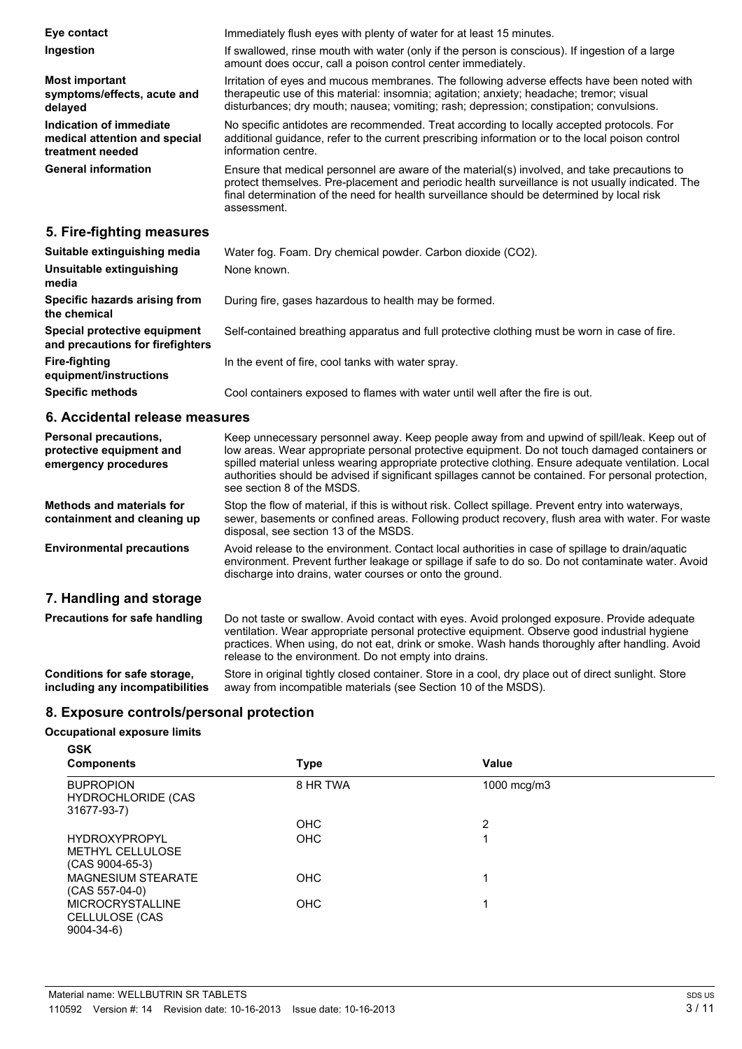| Eye contact<br>Ingestion                                                     | Immediately flush eyes with plenty of water for at least 15 minutes.<br>If swallowed, rinse mouth with water (only if the person is conscious). If ingestion of a large<br>amount does occur, call a poison control center immediately.                                                                       |
|------------------------------------------------------------------------------|---------------------------------------------------------------------------------------------------------------------------------------------------------------------------------------------------------------------------------------------------------------------------------------------------------------|
| <b>Most important</b><br>symptoms/effects, acute and<br>delayed              | Irritation of eyes and mucous membranes. The following adverse effects have been noted with<br>therapeutic use of this material: insomnia; agitation; anxiety; headache; tremor; visual<br>disturbances; dry mouth; nausea; vomiting; rash; depression; constipation; convulsions.                            |
| Indication of immediate<br>medical attention and special<br>treatment needed | No specific antidotes are recommended. Treat according to locally accepted protocols. For<br>additional guidance, refer to the current prescribing information or to the local poison control<br>information centre.                                                                                          |
| <b>General information</b>                                                   | Ensure that medical personnel are aware of the material(s) involved, and take precautions to<br>protect themselves. Pre-placement and periodic health surveillance is not usually indicated. The<br>final determination of the need for health surveillance should be determined by local risk<br>assessment. |
| 5. Fire-fighting measures                                                    |                                                                                                                                                                                                                                                                                                               |
| Suitable extinguishing media<br>Unsuitable extinguishing                     | Water fog. Foam. Dry chemical powder. Carbon dioxide (CO2).<br>None known.                                                                                                                                                                                                                                    |

| media                                                            |                                                                                               |
|------------------------------------------------------------------|-----------------------------------------------------------------------------------------------|
| Specific hazards arising from<br>the chemical                    | During fire, gases hazardous to health may be formed.                                         |
| Special protective equipment<br>and precautions for firefighters | Self-contained breathing apparatus and full protective clothing must be worn in case of fire. |
| Fire-fighting<br>equipment/instructions                          | In the event of fire, cool tanks with water spray.                                            |
| <b>Specific methods</b>                                          | Cool containers exposed to flames with water until well after the fire is out.                |

### **6. Accidental release measures**

| Personal precautions,<br>protective equipment and<br>emergency procedures | Keep unnecessary personnel away. Keep people away from and upwind of spill/leak. Keep out of<br>low areas. Wear appropriate personal protective equipment. Do not touch damaged containers or<br>spilled material unless wearing appropriate protective clothing. Ensure adequate ventilation. Local<br>authorities should be advised if significant spillages cannot be contained. For personal protection,<br>see section 8 of the MSDS. |
|---------------------------------------------------------------------------|--------------------------------------------------------------------------------------------------------------------------------------------------------------------------------------------------------------------------------------------------------------------------------------------------------------------------------------------------------------------------------------------------------------------------------------------|
| <b>Methods and materials for</b><br>containment and cleaning up           | Stop the flow of material, if this is without risk. Collect spillage. Prevent entry into waterways,<br>sewer, basements or confined areas. Following product recovery, flush area with water. For waste<br>disposal, see section 13 of the MSDS.                                                                                                                                                                                           |
| <b>Environmental precautions</b>                                          | Avoid release to the environment. Contact local authorities in case of spillage to drain/aquatic<br>environment. Prevent further leakage or spillage if safe to do so. Do not contaminate water. Avoid<br>discharge into drains, water courses or onto the ground.                                                                                                                                                                         |
| 7. Handling and storage                                                   |                                                                                                                                                                                                                                                                                                                                                                                                                                            |
| <b>Precautions for safe handling</b>                                      | Do not taste or swallow. Avoid contact with eyes. Avoid prolonged exposure. Provide adequate<br>ventilation. Wear appropriate personal protective equipment. Observe good industrial hygiene<br>practices. When using, do not eat, drink or smoke. Wash hands thoroughly after handling. Avoid<br>release to the environment. Do not empty into drains.                                                                                    |
| Conditions for safe storage,<br>including any incompatibilities           | Store in original tightly closed container. Store in a cool, dry place out of direct sunlight. Store<br>away from incompatible materials (see Section 10 of the MSDS).                                                                                                                                                                                                                                                                     |

### **8. Exposure controls/personal protection**

#### **Occupational exposure limits GSK**

| אכט<br><b>Components</b>                                             | <b>Type</b> | <b>Value</b> |  |
|----------------------------------------------------------------------|-------------|--------------|--|
| <b>BUPROPION</b><br><b>HYDROCHLORIDE (CAS</b><br>31677-93-7)         | 8 HR TWA    | 1000 mcg/m3  |  |
|                                                                      | <b>OHC</b>  | 2            |  |
| <b>HYDROXYPROPYL</b><br><b>METHYL CELLULOSE</b><br>$(CAS 9004-65-3)$ | <b>OHC</b>  | 1            |  |
| <b>MAGNESIUM STEARATE</b><br>$(CAS 557-04-0)$                        | <b>OHC</b>  | 1            |  |
| <b>MICROCRYSTALLINE</b><br>CELLULOSE (CAS<br>$9004 - 34 - 6$         | <b>OHC</b>  |              |  |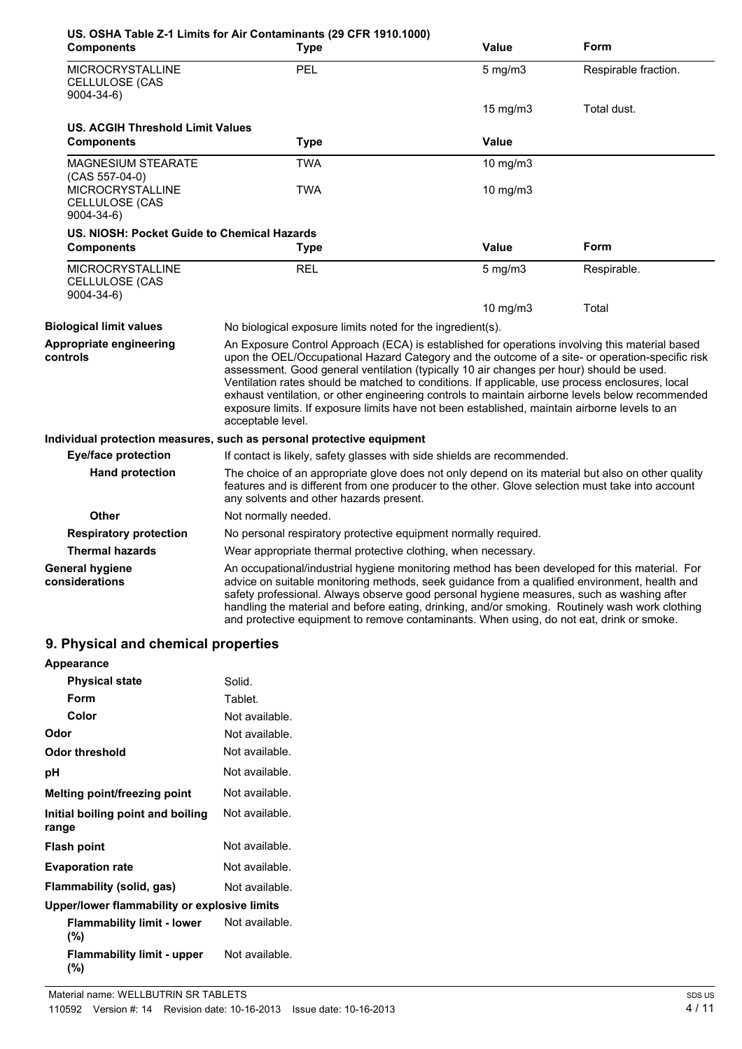| <b>Components</b>                                                                | US. OSHA Table Z-1 Limits for Air Contaminants (29 CFR 1910.1000)<br><b>Type</b>                                                                                                                                                                                                                                                                                                                                                                                                                                                                                                                                           | Value             | Form                 |
|----------------------------------------------------------------------------------|----------------------------------------------------------------------------------------------------------------------------------------------------------------------------------------------------------------------------------------------------------------------------------------------------------------------------------------------------------------------------------------------------------------------------------------------------------------------------------------------------------------------------------------------------------------------------------------------------------------------------|-------------------|----------------------|
| MICROCRYSTALLINE<br><b>CELLULOSE (CAS</b><br>$9004 - 34 - 6$                     | PEL                                                                                                                                                                                                                                                                                                                                                                                                                                                                                                                                                                                                                        | $5$ mg/m $3$      | Respirable fraction. |
|                                                                                  |                                                                                                                                                                                                                                                                                                                                                                                                                                                                                                                                                                                                                            | $15 \text{ mg/m}$ | Total dust.          |
| <b>US. ACGIH Threshold Limit Values</b>                                          |                                                                                                                                                                                                                                                                                                                                                                                                                                                                                                                                                                                                                            |                   |                      |
| <b>Components</b>                                                                | <b>Type</b>                                                                                                                                                                                                                                                                                                                                                                                                                                                                                                                                                                                                                | <b>Value</b>      |                      |
| <b>MAGNESIUM STEARATE</b>                                                        | <b>TWA</b>                                                                                                                                                                                                                                                                                                                                                                                                                                                                                                                                                                                                                 | 10 mg/m3          |                      |
| $(CAS 557-04-0)$<br><b>MICROCRYSTALLINE</b><br>CELLULOSE (CAS<br>$9004 - 34 - 6$ | <b>TWA</b>                                                                                                                                                                                                                                                                                                                                                                                                                                                                                                                                                                                                                 | 10 mg/m3          |                      |
| US. NIOSH: Pocket Guide to Chemical Hazards                                      |                                                                                                                                                                                                                                                                                                                                                                                                                                                                                                                                                                                                                            |                   |                      |
| <b>Components</b>                                                                | <b>Type</b>                                                                                                                                                                                                                                                                                                                                                                                                                                                                                                                                                                                                                | <b>Value</b>      | Form                 |
| <b>MICROCRYSTALLINE</b><br>CELLULOSE (CAS<br>$9004 - 34 - 6$                     | <b>REL</b>                                                                                                                                                                                                                                                                                                                                                                                                                                                                                                                                                                                                                 | $5$ mg/m $3$      | Respirable.          |
|                                                                                  |                                                                                                                                                                                                                                                                                                                                                                                                                                                                                                                                                                                                                            | 10 mg/m $3$       | Total                |
| <b>Biological limit values</b>                                                   | No biological exposure limits noted for the ingredient(s).                                                                                                                                                                                                                                                                                                                                                                                                                                                                                                                                                                 |                   |                      |
| Appropriate engineering<br>controls                                              | An Exposure Control Approach (ECA) is established for operations involving this material based<br>upon the OEL/Occupational Hazard Category and the outcome of a site- or operation-specific risk<br>assessment. Good general ventilation (typically 10 air changes per hour) should be used.<br>Ventilation rates should be matched to conditions. If applicable, use process enclosures, local<br>exhaust ventilation, or other engineering controls to maintain airborne levels below recommended<br>exposure limits. If exposure limits have not been established, maintain airborne levels to an<br>acceptable level. |                   |                      |
|                                                                                  | Individual protection measures, such as personal protective equipment                                                                                                                                                                                                                                                                                                                                                                                                                                                                                                                                                      |                   |                      |
| <b>Eye/face protection</b>                                                       | If contact is likely, safety glasses with side shields are recommended.                                                                                                                                                                                                                                                                                                                                                                                                                                                                                                                                                    |                   |                      |
| <b>Hand protection</b>                                                           | The choice of an appropriate glove does not only depend on its material but also on other quality<br>features and is different from one producer to the other. Glove selection must take into account<br>any solvents and other hazards present.                                                                                                                                                                                                                                                                                                                                                                           |                   |                      |
| <b>Other</b>                                                                     | Not normally needed.                                                                                                                                                                                                                                                                                                                                                                                                                                                                                                                                                                                                       |                   |                      |
| <b>Respiratory protection</b>                                                    | No personal respiratory protective equipment normally required.                                                                                                                                                                                                                                                                                                                                                                                                                                                                                                                                                            |                   |                      |
| <b>Thermal hazards</b>                                                           | Wear appropriate thermal protective clothing, when necessary.                                                                                                                                                                                                                                                                                                                                                                                                                                                                                                                                                              |                   |                      |
| <b>General hygiene</b><br>considerations                                         | An occupational/industrial hygiene monitoring method has been developed for this material. For<br>advice on suitable monitoring methods, seek guidance from a qualified environment, health and<br>safety professional. Always observe good personal hygiene measures, such as washing after<br>handling the material and before eating, drinking, and/or smoking. Routinely wash work clothing<br>and protective equipment to remove contaminants. When using, do not eat, drink or smoke.                                                                                                                                |                   |                      |

# **9. Physical and chemical properties**

| <b>Appearance</b>                            |                |
|----------------------------------------------|----------------|
| <b>Physical state</b>                        | Solid.         |
| Form                                         | Tablet.        |
| Color                                        | Not available. |
| Odor                                         | Not available. |
| Odor threshold                               | Not available. |
| рH                                           | Not available. |
| Melting point/freezing point                 | Not available. |
| Initial boiling point and boiling<br>range   | Not available. |
| <b>Flash point</b>                           | Not available. |
| <b>Evaporation rate</b>                      | Not available. |
| Flammability (solid, gas)                    | Not available. |
| Upper/lower flammability or explosive limits |                |
| <b>Flammability limit - lower</b><br>(%)     | Not available. |
| <b>Flammability limit - upper</b><br>(%)     | Not available. |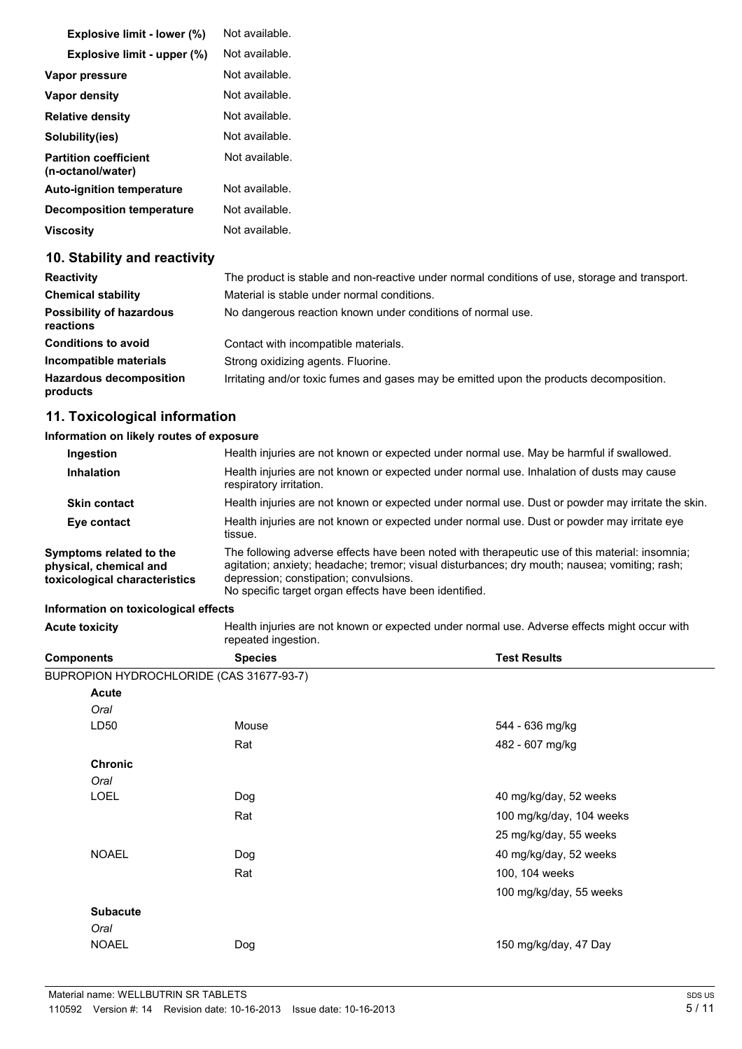| <b>Explosive limit - lower (%)</b>                | Not available. |
|---------------------------------------------------|----------------|
| Explosive limit - upper (%)                       | Not available. |
| Vapor pressure                                    | Not available. |
| Vapor density                                     | Not available. |
| <b>Relative density</b>                           | Not available. |
| Solubility(ies)                                   | Not available. |
| <b>Partition coefficient</b><br>(n-octanol/water) | Not available. |
| <b>Auto-ignition temperature</b>                  | Not available. |
| <b>Decomposition temperature</b>                  | Not available. |
| Viscosity                                         | Not available. |

### **10. Stability and reactivity**

| <b>Reactivity</b>                            | The product is stable and non-reactive under normal conditions of use, storage and transport. |
|----------------------------------------------|-----------------------------------------------------------------------------------------------|
| <b>Chemical stability</b>                    | Material is stable under normal conditions.                                                   |
| <b>Possibility of hazardous</b><br>reactions | No dangerous reaction known under conditions of normal use.                                   |
| <b>Conditions to avoid</b>                   | Contact with incompatible materials.                                                          |
| Incompatible materials                       | Strong oxidizing agents. Fluorine.                                                            |
| <b>Hazardous decomposition</b><br>products   | Irritating and/or toxic fumes and gases may be emitted upon the products decomposition.       |

### **11. Toxicological information**

### **Information on likely routes of exposure**

| <b>Ingestion</b>                                                                   | Health injuries are not known or expected under normal use. May be harmful if swallowed.                                                                                                                                                                                                            |
|------------------------------------------------------------------------------------|-----------------------------------------------------------------------------------------------------------------------------------------------------------------------------------------------------------------------------------------------------------------------------------------------------|
| <b>Inhalation</b>                                                                  | Health injuries are not known or expected under normal use. Inhalation of dusts may cause<br>respiratory irritation.                                                                                                                                                                                |
| <b>Skin contact</b>                                                                | Health injuries are not known or expected under normal use. Dust or powder may irritate the skin.                                                                                                                                                                                                   |
| Eye contact                                                                        | Health injuries are not known or expected under normal use. Dust or powder may irritate eye<br>tissue.                                                                                                                                                                                              |
| Symptoms related to the<br>physical, chemical and<br>toxicological characteristics | The following adverse effects have been noted with therapeutic use of this material: insomnia;<br>agitation; anxiety; headache; tremor; visual disturbances; dry mouth; nausea; vomiting; rash;<br>depression; constipation; convulsions.<br>No specific target organ effects have been identified. |

### **Information on toxicological effects**

Acute toxicity **Acute toxicity Health injuries are not known or expected under normal use. Adverse effects might occur with** repeated ingestion.

| <b>Components</b>                        | <b>Species</b> | <b>Test Results</b>      |
|------------------------------------------|----------------|--------------------------|
| BUPROPION HYDROCHLORIDE (CAS 31677-93-7) |                |                          |
| <b>Acute</b>                             |                |                          |
| Oral                                     |                |                          |
| LD50                                     | Mouse          | 544 - 636 mg/kg          |
|                                          | Rat            | 482 - 607 mg/kg          |
| <b>Chronic</b>                           |                |                          |
| Oral                                     |                |                          |
| <b>LOEL</b>                              | Dog            | 40 mg/kg/day, 52 weeks   |
|                                          | Rat            | 100 mg/kg/day, 104 weeks |
|                                          |                | 25 mg/kg/day, 55 weeks   |
| <b>NOAEL</b>                             | Dog            | 40 mg/kg/day, 52 weeks   |
|                                          | Rat            | 100, 104 weeks           |
|                                          |                | 100 mg/kg/day, 55 weeks  |
| <b>Subacute</b>                          |                |                          |
| Oral                                     |                |                          |
| <b>NOAEL</b>                             | Dog            | 150 mg/kg/day, 47 Day    |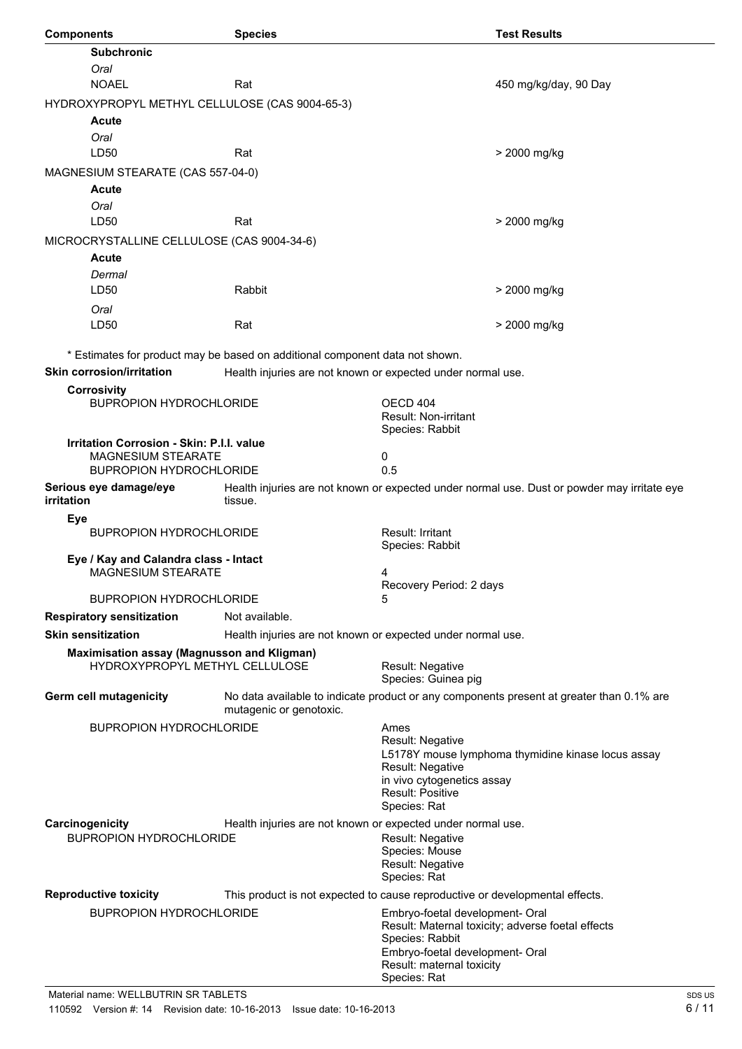| <b>Subchronic</b><br>Oral<br><b>NOAEL</b><br>Rat<br>450 mg/kg/day, 90 Day<br>HYDROXYPROPYL METHYL CELLULOSE (CAS 9004-65-3)<br>Acute<br>Oral<br>LD50<br>Rat<br>> 2000 mg/kg<br>MAGNESIUM STEARATE (CAS 557-04-0)<br>Acute<br>Oral<br>LD50<br>Rat<br>> 2000 mg/kg<br>MICROCRYSTALLINE CELLULOSE (CAS 9004-34-6)<br>Acute<br>Dermal<br>LD50<br>Rabbit<br>> 2000 mg/kg<br>Oral<br>LD50<br>Rat<br>> 2000 mg/kg<br>* Estimates for product may be based on additional component data not shown.<br><b>Skin corrosion/irritation</b><br>Health injuries are not known or expected under normal use.<br><b>Corrosivity</b><br><b>BUPROPION HYDROCHLORIDE</b><br>OECD 404<br>Result: Non-irritant<br>Species: Rabbit<br><b>Irritation Corrosion - Skin: P.I.I. value</b><br>MAGNESIUM STEARATE<br>0<br>0.5<br><b>BUPROPION HYDROCHLORIDE</b><br>Serious eye damage/eye<br>Health injuries are not known or expected under normal use. Dust or powder may irritate eye<br>tissue.<br>irritation<br>Eye<br>Result: Irritant<br><b>BUPROPION HYDROCHLORIDE</b><br>Species: Rabbit<br>Eye / Kay and Calandra class - Intact<br><b>MAGNESIUM STEARATE</b><br>4<br>Recovery Period: 2 days<br><b>BUPROPION HYDROCHLORIDE</b><br>5<br>Not available.<br><b>Respiratory sensitization</b><br><b>Skin sensitization</b><br>Health injuries are not known or expected under normal use.<br>Maximisation assay (Magnusson and Kligman)<br>HYDROXYPROPYL METHYL CELLULOSE<br>Result: Negative<br>Species: Guinea pig<br>Germ cell mutagenicity<br>No data available to indicate product or any components present at greater than 0.1% are<br>mutagenic or genotoxic.<br><b>BUPROPION HYDROCHLORIDE</b><br>Ames<br>Result: Negative<br>L5178Y mouse lymphoma thymidine kinase locus assay<br>Result: Negative<br>in vivo cytogenetics assay<br><b>Result: Positive</b><br>Species: Rat<br>Health injuries are not known or expected under normal use.<br>Carcinogenicity<br><b>BUPROPION HYDROCHLORIDE</b><br>Result: Negative<br>Species: Mouse<br>Result: Negative<br>Species: Rat<br><b>Reproductive toxicity</b><br>This product is not expected to cause reproductive or developmental effects.<br><b>BUPROPION HYDROCHLORIDE</b><br>Embryo-foetal development- Oral<br>Result: Maternal toxicity; adverse foetal effects<br>Species: Rabbit<br>Embryo-foetal development- Oral<br>Result: maternal toxicity<br>Species: Rat | <b>Components</b> | <b>Species</b> | <b>Test Results</b> |
|---------------------------------------------------------------------------------------------------------------------------------------------------------------------------------------------------------------------------------------------------------------------------------------------------------------------------------------------------------------------------------------------------------------------------------------------------------------------------------------------------------------------------------------------------------------------------------------------------------------------------------------------------------------------------------------------------------------------------------------------------------------------------------------------------------------------------------------------------------------------------------------------------------------------------------------------------------------------------------------------------------------------------------------------------------------------------------------------------------------------------------------------------------------------------------------------------------------------------------------------------------------------------------------------------------------------------------------------------------------------------------------------------------------------------------------------------------------------------------------------------------------------------------------------------------------------------------------------------------------------------------------------------------------------------------------------------------------------------------------------------------------------------------------------------------------------------------------------------------------------------------------------------------------------------------------------------------------------------------------------------------------------------------------------------------------------------------------------------------------------------------------------------------------------------------------------------------------------------------------------------------------------------------------------------------------------------------------------------------------------------------------------------------------|-------------------|----------------|---------------------|
|                                                                                                                                                                                                                                                                                                                                                                                                                                                                                                                                                                                                                                                                                                                                                                                                                                                                                                                                                                                                                                                                                                                                                                                                                                                                                                                                                                                                                                                                                                                                                                                                                                                                                                                                                                                                                                                                                                                                                                                                                                                                                                                                                                                                                                                                                                                                                                                                               |                   |                |                     |
|                                                                                                                                                                                                                                                                                                                                                                                                                                                                                                                                                                                                                                                                                                                                                                                                                                                                                                                                                                                                                                                                                                                                                                                                                                                                                                                                                                                                                                                                                                                                                                                                                                                                                                                                                                                                                                                                                                                                                                                                                                                                                                                                                                                                                                                                                                                                                                                                               |                   |                |                     |
|                                                                                                                                                                                                                                                                                                                                                                                                                                                                                                                                                                                                                                                                                                                                                                                                                                                                                                                                                                                                                                                                                                                                                                                                                                                                                                                                                                                                                                                                                                                                                                                                                                                                                                                                                                                                                                                                                                                                                                                                                                                                                                                                                                                                                                                                                                                                                                                                               |                   |                |                     |
|                                                                                                                                                                                                                                                                                                                                                                                                                                                                                                                                                                                                                                                                                                                                                                                                                                                                                                                                                                                                                                                                                                                                                                                                                                                                                                                                                                                                                                                                                                                                                                                                                                                                                                                                                                                                                                                                                                                                                                                                                                                                                                                                                                                                                                                                                                                                                                                                               |                   |                |                     |
|                                                                                                                                                                                                                                                                                                                                                                                                                                                                                                                                                                                                                                                                                                                                                                                                                                                                                                                                                                                                                                                                                                                                                                                                                                                                                                                                                                                                                                                                                                                                                                                                                                                                                                                                                                                                                                                                                                                                                                                                                                                                                                                                                                                                                                                                                                                                                                                                               |                   |                |                     |
|                                                                                                                                                                                                                                                                                                                                                                                                                                                                                                                                                                                                                                                                                                                                                                                                                                                                                                                                                                                                                                                                                                                                                                                                                                                                                                                                                                                                                                                                                                                                                                                                                                                                                                                                                                                                                                                                                                                                                                                                                                                                                                                                                                                                                                                                                                                                                                                                               |                   |                |                     |
|                                                                                                                                                                                                                                                                                                                                                                                                                                                                                                                                                                                                                                                                                                                                                                                                                                                                                                                                                                                                                                                                                                                                                                                                                                                                                                                                                                                                                                                                                                                                                                                                                                                                                                                                                                                                                                                                                                                                                                                                                                                                                                                                                                                                                                                                                                                                                                                                               |                   |                |                     |
|                                                                                                                                                                                                                                                                                                                                                                                                                                                                                                                                                                                                                                                                                                                                                                                                                                                                                                                                                                                                                                                                                                                                                                                                                                                                                                                                                                                                                                                                                                                                                                                                                                                                                                                                                                                                                                                                                                                                                                                                                                                                                                                                                                                                                                                                                                                                                                                                               |                   |                |                     |
|                                                                                                                                                                                                                                                                                                                                                                                                                                                                                                                                                                                                                                                                                                                                                                                                                                                                                                                                                                                                                                                                                                                                                                                                                                                                                                                                                                                                                                                                                                                                                                                                                                                                                                                                                                                                                                                                                                                                                                                                                                                                                                                                                                                                                                                                                                                                                                                                               |                   |                |                     |
|                                                                                                                                                                                                                                                                                                                                                                                                                                                                                                                                                                                                                                                                                                                                                                                                                                                                                                                                                                                                                                                                                                                                                                                                                                                                                                                                                                                                                                                                                                                                                                                                                                                                                                                                                                                                                                                                                                                                                                                                                                                                                                                                                                                                                                                                                                                                                                                                               |                   |                |                     |
|                                                                                                                                                                                                                                                                                                                                                                                                                                                                                                                                                                                                                                                                                                                                                                                                                                                                                                                                                                                                                                                                                                                                                                                                                                                                                                                                                                                                                                                                                                                                                                                                                                                                                                                                                                                                                                                                                                                                                                                                                                                                                                                                                                                                                                                                                                                                                                                                               |                   |                |                     |
|                                                                                                                                                                                                                                                                                                                                                                                                                                                                                                                                                                                                                                                                                                                                                                                                                                                                                                                                                                                                                                                                                                                                                                                                                                                                                                                                                                                                                                                                                                                                                                                                                                                                                                                                                                                                                                                                                                                                                                                                                                                                                                                                                                                                                                                                                                                                                                                                               |                   |                |                     |
|                                                                                                                                                                                                                                                                                                                                                                                                                                                                                                                                                                                                                                                                                                                                                                                                                                                                                                                                                                                                                                                                                                                                                                                                                                                                                                                                                                                                                                                                                                                                                                                                                                                                                                                                                                                                                                                                                                                                                                                                                                                                                                                                                                                                                                                                                                                                                                                                               |                   |                |                     |
|                                                                                                                                                                                                                                                                                                                                                                                                                                                                                                                                                                                                                                                                                                                                                                                                                                                                                                                                                                                                                                                                                                                                                                                                                                                                                                                                                                                                                                                                                                                                                                                                                                                                                                                                                                                                                                                                                                                                                                                                                                                                                                                                                                                                                                                                                                                                                                                                               |                   |                |                     |
|                                                                                                                                                                                                                                                                                                                                                                                                                                                                                                                                                                                                                                                                                                                                                                                                                                                                                                                                                                                                                                                                                                                                                                                                                                                                                                                                                                                                                                                                                                                                                                                                                                                                                                                                                                                                                                                                                                                                                                                                                                                                                                                                                                                                                                                                                                                                                                                                               |                   |                |                     |
|                                                                                                                                                                                                                                                                                                                                                                                                                                                                                                                                                                                                                                                                                                                                                                                                                                                                                                                                                                                                                                                                                                                                                                                                                                                                                                                                                                                                                                                                                                                                                                                                                                                                                                                                                                                                                                                                                                                                                                                                                                                                                                                                                                                                                                                                                                                                                                                                               |                   |                |                     |
|                                                                                                                                                                                                                                                                                                                                                                                                                                                                                                                                                                                                                                                                                                                                                                                                                                                                                                                                                                                                                                                                                                                                                                                                                                                                                                                                                                                                                                                                                                                                                                                                                                                                                                                                                                                                                                                                                                                                                                                                                                                                                                                                                                                                                                                                                                                                                                                                               |                   |                |                     |
|                                                                                                                                                                                                                                                                                                                                                                                                                                                                                                                                                                                                                                                                                                                                                                                                                                                                                                                                                                                                                                                                                                                                                                                                                                                                                                                                                                                                                                                                                                                                                                                                                                                                                                                                                                                                                                                                                                                                                                                                                                                                                                                                                                                                                                                                                                                                                                                                               |                   |                |                     |
|                                                                                                                                                                                                                                                                                                                                                                                                                                                                                                                                                                                                                                                                                                                                                                                                                                                                                                                                                                                                                                                                                                                                                                                                                                                                                                                                                                                                                                                                                                                                                                                                                                                                                                                                                                                                                                                                                                                                                                                                                                                                                                                                                                                                                                                                                                                                                                                                               |                   |                |                     |
|                                                                                                                                                                                                                                                                                                                                                                                                                                                                                                                                                                                                                                                                                                                                                                                                                                                                                                                                                                                                                                                                                                                                                                                                                                                                                                                                                                                                                                                                                                                                                                                                                                                                                                                                                                                                                                                                                                                                                                                                                                                                                                                                                                                                                                                                                                                                                                                                               |                   |                |                     |
|                                                                                                                                                                                                                                                                                                                                                                                                                                                                                                                                                                                                                                                                                                                                                                                                                                                                                                                                                                                                                                                                                                                                                                                                                                                                                                                                                                                                                                                                                                                                                                                                                                                                                                                                                                                                                                                                                                                                                                                                                                                                                                                                                                                                                                                                                                                                                                                                               |                   |                |                     |
|                                                                                                                                                                                                                                                                                                                                                                                                                                                                                                                                                                                                                                                                                                                                                                                                                                                                                                                                                                                                                                                                                                                                                                                                                                                                                                                                                                                                                                                                                                                                                                                                                                                                                                                                                                                                                                                                                                                                                                                                                                                                                                                                                                                                                                                                                                                                                                                                               |                   |                |                     |
|                                                                                                                                                                                                                                                                                                                                                                                                                                                                                                                                                                                                                                                                                                                                                                                                                                                                                                                                                                                                                                                                                                                                                                                                                                                                                                                                                                                                                                                                                                                                                                                                                                                                                                                                                                                                                                                                                                                                                                                                                                                                                                                                                                                                                                                                                                                                                                                                               |                   |                |                     |
|                                                                                                                                                                                                                                                                                                                                                                                                                                                                                                                                                                                                                                                                                                                                                                                                                                                                                                                                                                                                                                                                                                                                                                                                                                                                                                                                                                                                                                                                                                                                                                                                                                                                                                                                                                                                                                                                                                                                                                                                                                                                                                                                                                                                                                                                                                                                                                                                               |                   |                |                     |
|                                                                                                                                                                                                                                                                                                                                                                                                                                                                                                                                                                                                                                                                                                                                                                                                                                                                                                                                                                                                                                                                                                                                                                                                                                                                                                                                                                                                                                                                                                                                                                                                                                                                                                                                                                                                                                                                                                                                                                                                                                                                                                                                                                                                                                                                                                                                                                                                               |                   |                |                     |
|                                                                                                                                                                                                                                                                                                                                                                                                                                                                                                                                                                                                                                                                                                                                                                                                                                                                                                                                                                                                                                                                                                                                                                                                                                                                                                                                                                                                                                                                                                                                                                                                                                                                                                                                                                                                                                                                                                                                                                                                                                                                                                                                                                                                                                                                                                                                                                                                               |                   |                |                     |
|                                                                                                                                                                                                                                                                                                                                                                                                                                                                                                                                                                                                                                                                                                                                                                                                                                                                                                                                                                                                                                                                                                                                                                                                                                                                                                                                                                                                                                                                                                                                                                                                                                                                                                                                                                                                                                                                                                                                                                                                                                                                                                                                                                                                                                                                                                                                                                                                               |                   |                |                     |
|                                                                                                                                                                                                                                                                                                                                                                                                                                                                                                                                                                                                                                                                                                                                                                                                                                                                                                                                                                                                                                                                                                                                                                                                                                                                                                                                                                                                                                                                                                                                                                                                                                                                                                                                                                                                                                                                                                                                                                                                                                                                                                                                                                                                                                                                                                                                                                                                               |                   |                |                     |
|                                                                                                                                                                                                                                                                                                                                                                                                                                                                                                                                                                                                                                                                                                                                                                                                                                                                                                                                                                                                                                                                                                                                                                                                                                                                                                                                                                                                                                                                                                                                                                                                                                                                                                                                                                                                                                                                                                                                                                                                                                                                                                                                                                                                                                                                                                                                                                                                               |                   |                |                     |
|                                                                                                                                                                                                                                                                                                                                                                                                                                                                                                                                                                                                                                                                                                                                                                                                                                                                                                                                                                                                                                                                                                                                                                                                                                                                                                                                                                                                                                                                                                                                                                                                                                                                                                                                                                                                                                                                                                                                                                                                                                                                                                                                                                                                                                                                                                                                                                                                               |                   |                |                     |
|                                                                                                                                                                                                                                                                                                                                                                                                                                                                                                                                                                                                                                                                                                                                                                                                                                                                                                                                                                                                                                                                                                                                                                                                                                                                                                                                                                                                                                                                                                                                                                                                                                                                                                                                                                                                                                                                                                                                                                                                                                                                                                                                                                                                                                                                                                                                                                                                               |                   |                |                     |
|                                                                                                                                                                                                                                                                                                                                                                                                                                                                                                                                                                                                                                                                                                                                                                                                                                                                                                                                                                                                                                                                                                                                                                                                                                                                                                                                                                                                                                                                                                                                                                                                                                                                                                                                                                                                                                                                                                                                                                                                                                                                                                                                                                                                                                                                                                                                                                                                               |                   |                |                     |
|                                                                                                                                                                                                                                                                                                                                                                                                                                                                                                                                                                                                                                                                                                                                                                                                                                                                                                                                                                                                                                                                                                                                                                                                                                                                                                                                                                                                                                                                                                                                                                                                                                                                                                                                                                                                                                                                                                                                                                                                                                                                                                                                                                                                                                                                                                                                                                                                               |                   |                |                     |
|                                                                                                                                                                                                                                                                                                                                                                                                                                                                                                                                                                                                                                                                                                                                                                                                                                                                                                                                                                                                                                                                                                                                                                                                                                                                                                                                                                                                                                                                                                                                                                                                                                                                                                                                                                                                                                                                                                                                                                                                                                                                                                                                                                                                                                                                                                                                                                                                               |                   |                |                     |
|                                                                                                                                                                                                                                                                                                                                                                                                                                                                                                                                                                                                                                                                                                                                                                                                                                                                                                                                                                                                                                                                                                                                                                                                                                                                                                                                                                                                                                                                                                                                                                                                                                                                                                                                                                                                                                                                                                                                                                                                                                                                                                                                                                                                                                                                                                                                                                                                               |                   |                |                     |
|                                                                                                                                                                                                                                                                                                                                                                                                                                                                                                                                                                                                                                                                                                                                                                                                                                                                                                                                                                                                                                                                                                                                                                                                                                                                                                                                                                                                                                                                                                                                                                                                                                                                                                                                                                                                                                                                                                                                                                                                                                                                                                                                                                                                                                                                                                                                                                                                               |                   |                |                     |
|                                                                                                                                                                                                                                                                                                                                                                                                                                                                                                                                                                                                                                                                                                                                                                                                                                                                                                                                                                                                                                                                                                                                                                                                                                                                                                                                                                                                                                                                                                                                                                                                                                                                                                                                                                                                                                                                                                                                                                                                                                                                                                                                                                                                                                                                                                                                                                                                               |                   |                |                     |
|                                                                                                                                                                                                                                                                                                                                                                                                                                                                                                                                                                                                                                                                                                                                                                                                                                                                                                                                                                                                                                                                                                                                                                                                                                                                                                                                                                                                                                                                                                                                                                                                                                                                                                                                                                                                                                                                                                                                                                                                                                                                                                                                                                                                                                                                                                                                                                                                               |                   |                |                     |
|                                                                                                                                                                                                                                                                                                                                                                                                                                                                                                                                                                                                                                                                                                                                                                                                                                                                                                                                                                                                                                                                                                                                                                                                                                                                                                                                                                                                                                                                                                                                                                                                                                                                                                                                                                                                                                                                                                                                                                                                                                                                                                                                                                                                                                                                                                                                                                                                               |                   |                |                     |
|                                                                                                                                                                                                                                                                                                                                                                                                                                                                                                                                                                                                                                                                                                                                                                                                                                                                                                                                                                                                                                                                                                                                                                                                                                                                                                                                                                                                                                                                                                                                                                                                                                                                                                                                                                                                                                                                                                                                                                                                                                                                                                                                                                                                                                                                                                                                                                                                               |                   |                |                     |
|                                                                                                                                                                                                                                                                                                                                                                                                                                                                                                                                                                                                                                                                                                                                                                                                                                                                                                                                                                                                                                                                                                                                                                                                                                                                                                                                                                                                                                                                                                                                                                                                                                                                                                                                                                                                                                                                                                                                                                                                                                                                                                                                                                                                                                                                                                                                                                                                               |                   |                |                     |
|                                                                                                                                                                                                                                                                                                                                                                                                                                                                                                                                                                                                                                                                                                                                                                                                                                                                                                                                                                                                                                                                                                                                                                                                                                                                                                                                                                                                                                                                                                                                                                                                                                                                                                                                                                                                                                                                                                                                                                                                                                                                                                                                                                                                                                                                                                                                                                                                               |                   |                |                     |
|                                                                                                                                                                                                                                                                                                                                                                                                                                                                                                                                                                                                                                                                                                                                                                                                                                                                                                                                                                                                                                                                                                                                                                                                                                                                                                                                                                                                                                                                                                                                                                                                                                                                                                                                                                                                                                                                                                                                                                                                                                                                                                                                                                                                                                                                                                                                                                                                               |                   |                |                     |
|                                                                                                                                                                                                                                                                                                                                                                                                                                                                                                                                                                                                                                                                                                                                                                                                                                                                                                                                                                                                                                                                                                                                                                                                                                                                                                                                                                                                                                                                                                                                                                                                                                                                                                                                                                                                                                                                                                                                                                                                                                                                                                                                                                                                                                                                                                                                                                                                               |                   |                |                     |
|                                                                                                                                                                                                                                                                                                                                                                                                                                                                                                                                                                                                                                                                                                                                                                                                                                                                                                                                                                                                                                                                                                                                                                                                                                                                                                                                                                                                                                                                                                                                                                                                                                                                                                                                                                                                                                                                                                                                                                                                                                                                                                                                                                                                                                                                                                                                                                                                               |                   |                |                     |
|                                                                                                                                                                                                                                                                                                                                                                                                                                                                                                                                                                                                                                                                                                                                                                                                                                                                                                                                                                                                                                                                                                                                                                                                                                                                                                                                                                                                                                                                                                                                                                                                                                                                                                                                                                                                                                                                                                                                                                                                                                                                                                                                                                                                                                                                                                                                                                                                               |                   |                |                     |
|                                                                                                                                                                                                                                                                                                                                                                                                                                                                                                                                                                                                                                                                                                                                                                                                                                                                                                                                                                                                                                                                                                                                                                                                                                                                                                                                                                                                                                                                                                                                                                                                                                                                                                                                                                                                                                                                                                                                                                                                                                                                                                                                                                                                                                                                                                                                                                                                               |                   |                |                     |
|                                                                                                                                                                                                                                                                                                                                                                                                                                                                                                                                                                                                                                                                                                                                                                                                                                                                                                                                                                                                                                                                                                                                                                                                                                                                                                                                                                                                                                                                                                                                                                                                                                                                                                                                                                                                                                                                                                                                                                                                                                                                                                                                                                                                                                                                                                                                                                                                               |                   |                |                     |
|                                                                                                                                                                                                                                                                                                                                                                                                                                                                                                                                                                                                                                                                                                                                                                                                                                                                                                                                                                                                                                                                                                                                                                                                                                                                                                                                                                                                                                                                                                                                                                                                                                                                                                                                                                                                                                                                                                                                                                                                                                                                                                                                                                                                                                                                                                                                                                                                               |                   |                |                     |
|                                                                                                                                                                                                                                                                                                                                                                                                                                                                                                                                                                                                                                                                                                                                                                                                                                                                                                                                                                                                                                                                                                                                                                                                                                                                                                                                                                                                                                                                                                                                                                                                                                                                                                                                                                                                                                                                                                                                                                                                                                                                                                                                                                                                                                                                                                                                                                                                               |                   |                |                     |
|                                                                                                                                                                                                                                                                                                                                                                                                                                                                                                                                                                                                                                                                                                                                                                                                                                                                                                                                                                                                                                                                                                                                                                                                                                                                                                                                                                                                                                                                                                                                                                                                                                                                                                                                                                                                                                                                                                                                                                                                                                                                                                                                                                                                                                                                                                                                                                                                               |                   |                |                     |
|                                                                                                                                                                                                                                                                                                                                                                                                                                                                                                                                                                                                                                                                                                                                                                                                                                                                                                                                                                                                                                                                                                                                                                                                                                                                                                                                                                                                                                                                                                                                                                                                                                                                                                                                                                                                                                                                                                                                                                                                                                                                                                                                                                                                                                                                                                                                                                                                               |                   |                |                     |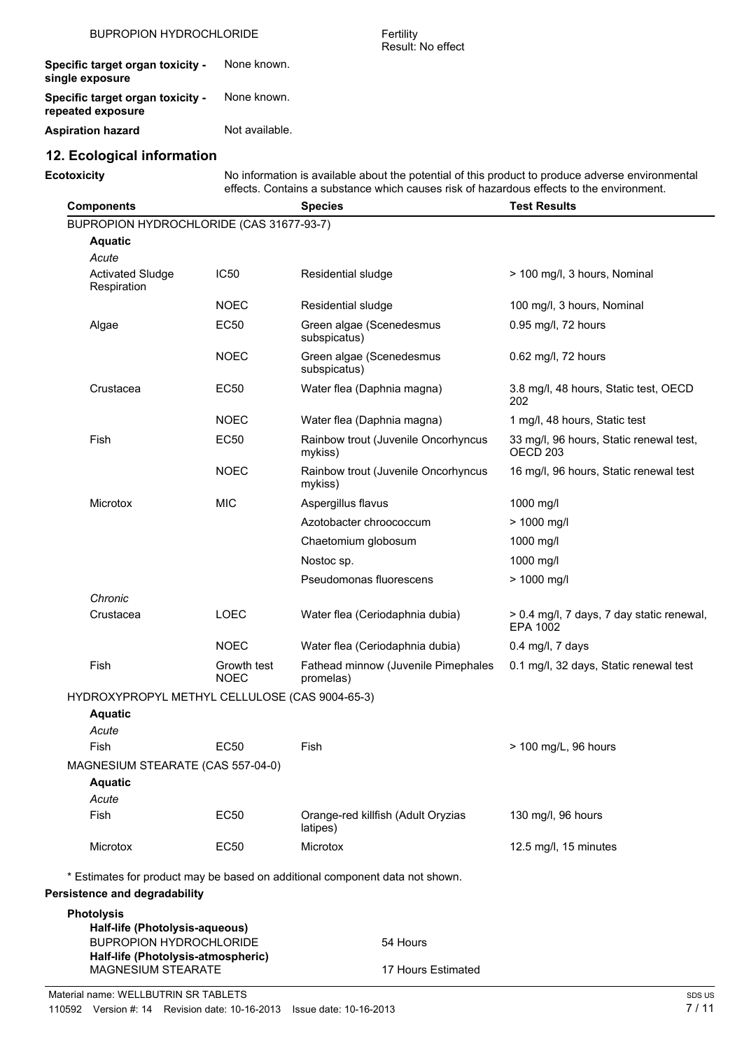| <b>BUPROPION HYDROCHLORIDE</b>                               |                | Fertility<br>Result: No effect |
|--------------------------------------------------------------|----------------|--------------------------------|
| Specific target organ toxicity -<br>single exposure          | None known.    |                                |
| <b>Specific target organ toxicity -</b><br>repeated exposure | None known.    |                                |
| <b>Aspiration hazard</b>                                     | Not available. |                                |

# **12. Ecological information**

**Ecotoxicity** No information is available about the potential of this product to produce adverse environmental effects. Contains a substance which causes risk of hazardous effects to the environment.

| <b>Components</b>                                                |                            | <b>Species</b>                                                               | <b>Test Results</b>                                            |
|------------------------------------------------------------------|----------------------------|------------------------------------------------------------------------------|----------------------------------------------------------------|
| BUPROPION HYDROCHLORIDE (CAS 31677-93-7)                         |                            |                                                                              |                                                                |
| <b>Aquatic</b>                                                   |                            |                                                                              |                                                                |
| Acute                                                            |                            |                                                                              |                                                                |
| <b>Activated Sludge</b><br>Respiration                           | IC <sub>50</sub>           | Residential sludge                                                           | > 100 mg/l, 3 hours, Nominal                                   |
|                                                                  | <b>NOEC</b>                | Residential sludge                                                           | 100 mg/l, 3 hours, Nominal                                     |
| Algae                                                            | <b>EC50</b>                | Green algae (Scenedesmus<br>subspicatus)                                     | 0.95 mg/l, 72 hours                                            |
|                                                                  | <b>NOEC</b>                | Green algae (Scenedesmus<br>subspicatus)                                     | 0.62 mg/l, 72 hours                                            |
| Crustacea                                                        | EC50                       | Water flea (Daphnia magna)                                                   | 3.8 mg/l, 48 hours, Static test, OECD<br>202                   |
|                                                                  | <b>NOEC</b>                | Water flea (Daphnia magna)                                                   | 1 mg/l, 48 hours, Static test                                  |
| Fish                                                             | <b>EC50</b>                | Rainbow trout (Juvenile Oncorhyncus<br>mykiss)                               | 33 mg/l, 96 hours, Static renewal test,<br>OECD <sub>203</sub> |
|                                                                  | <b>NOEC</b>                | Rainbow trout (Juvenile Oncorhyncus<br>mykiss)                               | 16 mg/l, 96 hours, Static renewal test                         |
| Microtox                                                         | <b>MIC</b>                 | Aspergillus flavus                                                           | 1000 mg/l                                                      |
|                                                                  |                            | Azotobacter chroococcum                                                      | > 1000 mg/l                                                    |
|                                                                  |                            | Chaetomium globosum                                                          | 1000 mg/l                                                      |
|                                                                  |                            | Nostoc sp.                                                                   | 1000 mg/l                                                      |
|                                                                  |                            | Pseudomonas fluorescens                                                      | > 1000 mg/l                                                    |
| Chronic                                                          |                            |                                                                              |                                                                |
| Crustacea                                                        | <b>LOEC</b>                | Water flea (Ceriodaphnia dubia)                                              | > 0.4 mg/l, 7 days, 7 day static renewal,<br>EPA 1002          |
|                                                                  | <b>NOEC</b>                | Water flea (Ceriodaphnia dubia)                                              | 0.4 mg/l, 7 days                                               |
| Fish                                                             | Growth test<br><b>NOEC</b> | Fathead minnow (Juvenile Pimephales<br>promelas)                             | 0.1 mg/l, 32 days, Static renewal test                         |
| HYDROXYPROPYL METHYL CELLULOSE (CAS 9004-65-3)                   |                            |                                                                              |                                                                |
| <b>Aquatic</b>                                                   |                            |                                                                              |                                                                |
| Acute                                                            |                            |                                                                              |                                                                |
| Fish                                                             | EC50                       | Fish                                                                         | > 100 mg/L, 96 hours                                           |
| MAGNESIUM STEARATE (CAS 557-04-0)                                |                            |                                                                              |                                                                |
| <b>Aquatic</b>                                                   |                            |                                                                              |                                                                |
| Acute<br>Fish                                                    | <b>EC50</b>                | Orange-red killfish (Adult Oryzias<br>latipes)                               | 130 mg/l, 96 hours                                             |
| Microtox                                                         | EC50                       | Microtox                                                                     | 12.5 mg/l, 15 minutes                                          |
|                                                                  |                            | * Estimates for product may be based on additional component data not shown. |                                                                |
| Persistence and degradability                                    |                            |                                                                              |                                                                |
| <b>Photolysis</b>                                                |                            |                                                                              |                                                                |
| Half-life (Photolysis-aqueous)<br><b>BUPROPION HYDROCHLORIDE</b> |                            | 54 Hours                                                                     |                                                                |
| Half-life (Photolysis-atmospheric)                               |                            |                                                                              |                                                                |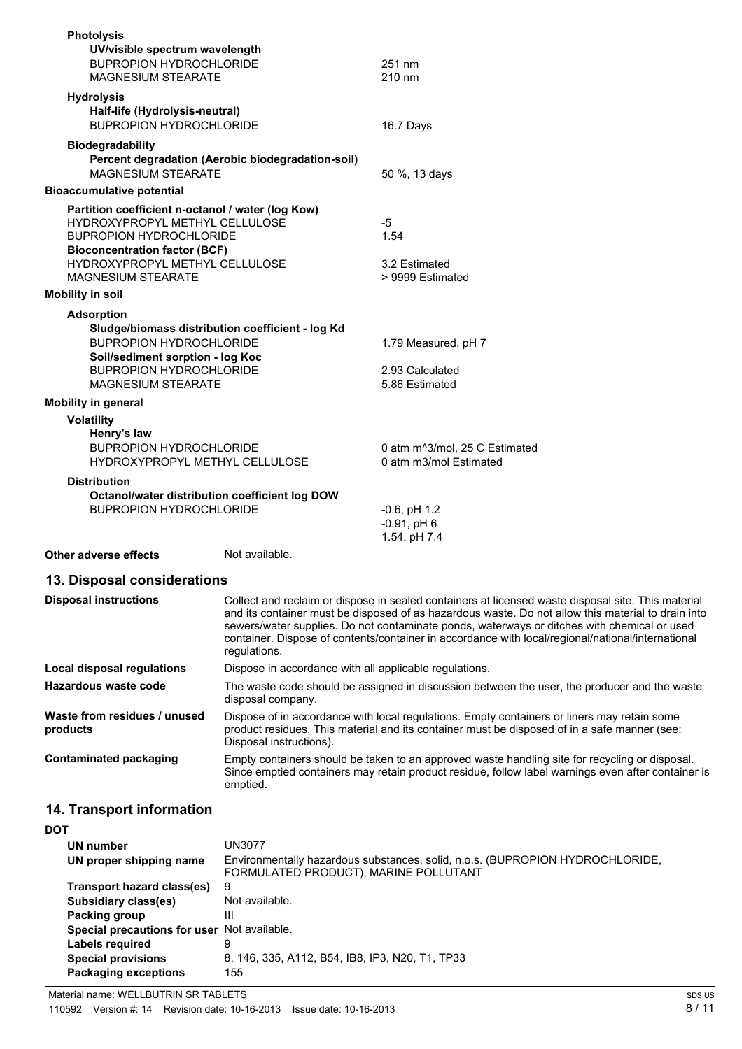| <b>Photolysis</b>                                                                                                                                                       |                                                   |                                                          |
|-------------------------------------------------------------------------------------------------------------------------------------------------------------------------|---------------------------------------------------|----------------------------------------------------------|
| UV/visible spectrum wavelength<br><b>BUPROPION HYDROCHLORIDE</b><br><b>MAGNESIUM STEARATE</b>                                                                           |                                                   | 251 nm<br>$210 \text{ nm}$                               |
| <b>Hydrolysis</b><br>Half-life (Hydrolysis-neutral)<br><b>BUPROPION HYDROCHLORIDE</b>                                                                                   |                                                   | 16.7 Days                                                |
| <b>Biodegradability</b><br><b>MAGNESIUM STEARATE</b>                                                                                                                    | Percent degradation (Aerobic biodegradation-soil) | 50 %, 13 days                                            |
| <b>Bioaccumulative potential</b>                                                                                                                                        |                                                   |                                                          |
| HYDROXYPROPYL METHYL CELLULOSE<br><b>BUPROPION HYDROCHLORIDE</b><br><b>Bioconcentration factor (BCF)</b><br>HYDROXYPROPYL METHYL CELLULOSE<br><b>MAGNESIUM STEARATE</b> | Partition coefficient n-octanol / water (log Kow) | $-5$<br>1.54<br>3.2 Estimated<br>> 9999 Estimated        |
| <b>Mobility in soil</b>                                                                                                                                                 |                                                   |                                                          |
| <b>Adsorption</b><br><b>BUPROPION HYDROCHLORIDE</b><br>Soil/sediment sorption - log Koc<br><b>BUPROPION HYDROCHLORIDE</b><br><b>MAGNESIUM STEARATE</b>                  | Sludge/biomass distribution coefficient - log Kd  | 1.79 Measured, pH 7<br>2.93 Calculated<br>5.86 Estimated |
| <b>Mobility in general</b>                                                                                                                                              |                                                   |                                                          |
| <b>Volatility</b><br>Henry's law<br><b>BUPROPION HYDROCHLORIDE</b>                                                                                                      | HYDROXYPROPYL METHYL CELLULOSE                    | 0 atm m^3/mol, 25 C Estimated<br>0 atm m3/mol Estimated  |
| <b>Distribution</b><br><b>BUPROPION HYDROCHLORIDE</b>                                                                                                                   | Octanol/water distribution coefficient log DOW    | $-0.6$ , pH $1.2$<br>$-0.91$ , pH $6$<br>1.54, pH 7.4    |
| Other adverse effects                                                                                                                                                   | Not available.                                    |                                                          |
|                                                                                                                                                                         |                                                   |                                                          |
| 13. Disposal considerations                                                                                                                                             |                                                   |                                                          |

| <b>Disposal instructions</b>             | Collect and reclaim or dispose in sealed containers at licensed waste disposal site. This material<br>and its container must be disposed of as hazardous waste. Do not allow this material to drain into<br>sewers/water supplies. Do not contaminate ponds, waterways or ditches with chemical or used<br>container. Dispose of contents/container in accordance with local/regional/national/international<br>requlations. |
|------------------------------------------|------------------------------------------------------------------------------------------------------------------------------------------------------------------------------------------------------------------------------------------------------------------------------------------------------------------------------------------------------------------------------------------------------------------------------|
| Local disposal regulations               | Dispose in accordance with all applicable regulations.                                                                                                                                                                                                                                                                                                                                                                       |
| Hazardous waste code                     | The waste code should be assigned in discussion between the user, the producer and the waste<br>disposal company.                                                                                                                                                                                                                                                                                                            |
| Waste from residues / unused<br>products | Dispose of in accordance with local regulations. Empty containers or liners may retain some<br>product residues. This material and its container must be disposed of in a safe manner (see:<br>Disposal instructions).                                                                                                                                                                                                       |
| <b>Contaminated packaging</b>            | Empty containers should be taken to an approved waste handling site for recycling or disposal.<br>Since emptied containers may retain product residue, follow label warnings even after container is<br>emptied.                                                                                                                                                                                                             |

# **14. Transport information**

| <b>DOT</b>                                  |                                                                                                                        |
|---------------------------------------------|------------------------------------------------------------------------------------------------------------------------|
| UN number                                   | UN3077                                                                                                                 |
| UN proper shipping name                     | Environmentally hazardous substances, solid, n.o.s. (BUPROPION HYDROCHLORIDE,<br>FORMULATED PRODUCT), MARINE POLLUTANT |
| Transport hazard class(es)                  | 9                                                                                                                      |
| Subsidiary class(es)                        | Not available.                                                                                                         |
| Packing group                               | Ш                                                                                                                      |
| Special precautions for user Not available. |                                                                                                                        |
| Labels required                             | 9                                                                                                                      |
| <b>Special provisions</b>                   | 8, 146, 335, A112, B54, IB8, IP3, N20, T1, TP33                                                                        |
| <b>Packaging exceptions</b>                 | 155                                                                                                                    |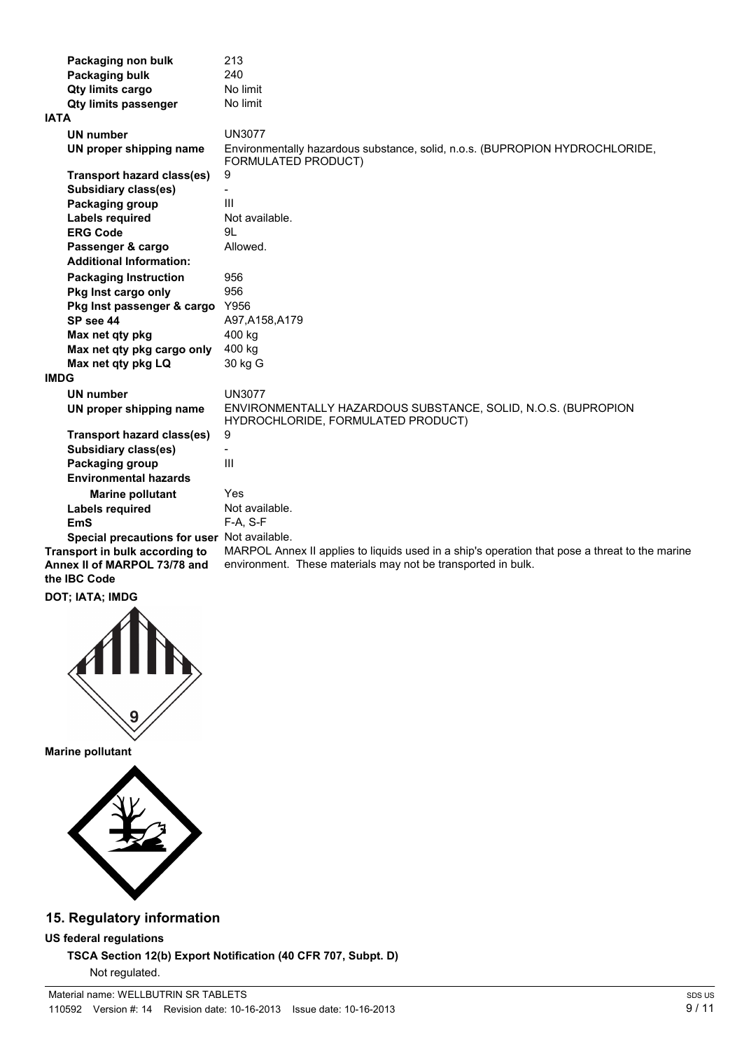| Packaging non bulk                                  | 213                                                                                                 |
|-----------------------------------------------------|-----------------------------------------------------------------------------------------------------|
| Packaging bulk                                      | 240                                                                                                 |
| Qty limits cargo                                    | No limit                                                                                            |
| <b>Qty limits passenger</b>                         | No limit                                                                                            |
| IATA                                                |                                                                                                     |
| <b>UN number</b>                                    | <b>UN3077</b>                                                                                       |
| UN proper shipping name                             | Environmentally hazardous substance, solid, n.o.s. (BUPROPION HYDROCHLORIDE,<br>FORMULATED PRODUCT) |
| <b>Transport hazard class(es)</b>                   | 9                                                                                                   |
| Subsidiary class(es)                                | $\blacksquare$                                                                                      |
| Packaging group                                     | $\mathbf{III}$                                                                                      |
| Labels required                                     | Not available.                                                                                      |
| <b>ERG Code</b>                                     | 91.                                                                                                 |
| Passenger & cargo<br><b>Additional Information:</b> | Allowed.                                                                                            |
|                                                     |                                                                                                     |
| <b>Packaging Instruction</b>                        | 956                                                                                                 |
| Pkg Inst cargo only                                 | 956<br>Y956                                                                                         |
| Pkg Inst passenger & cargo                          |                                                                                                     |
| SP see 44                                           | A97, A158, A179                                                                                     |
| Max net qty pkg                                     | 400 kg                                                                                              |
| Max net qty pkg cargo only                          | 400 kg                                                                                              |
| Max net qty pkg LQ                                  | 30 kg G                                                                                             |
| <b>IMDG</b>                                         |                                                                                                     |
| <b>UN number</b>                                    | <b>UN3077</b>                                                                                       |
| UN proper shipping name                             | ENVIRONMENTALLY HAZARDOUS SUBSTANCE, SOLID, N.O.S. (BUPROPION<br>HYDROCHLORIDE, FORMULATED PRODUCT) |
| <b>Transport hazard class(es)</b>                   | 9                                                                                                   |
| <b>Subsidiary class(es)</b>                         |                                                                                                     |
| Packaging group                                     | $\mathbf{III}$                                                                                      |
| <b>Environmental hazards</b>                        |                                                                                                     |
| <b>Marine pollutant</b>                             | Yes                                                                                                 |
| <b>Labels required</b>                              | Not available.                                                                                      |
| <b>EmS</b>                                          | $F-A, S-F$                                                                                          |
| Special precautions for user Not available.         |                                                                                                     |
| Transport in bulk according to                      | MARPOL Annex II applies to liquids used in a ship's operation that pose a threat to the marine      |
| Annex II of MARPOL 73/78 and<br>the <b>IBC</b> Code | environment. These materials may not be transported in bulk.                                        |

**DOT; IATA; IMDG**



**Marine pollutant**



## **15. Regulatory information**

**US federal regulations**

**TSCA Section 12(b) Export Notification (40 CFR 707, Subpt. D)** Not regulated.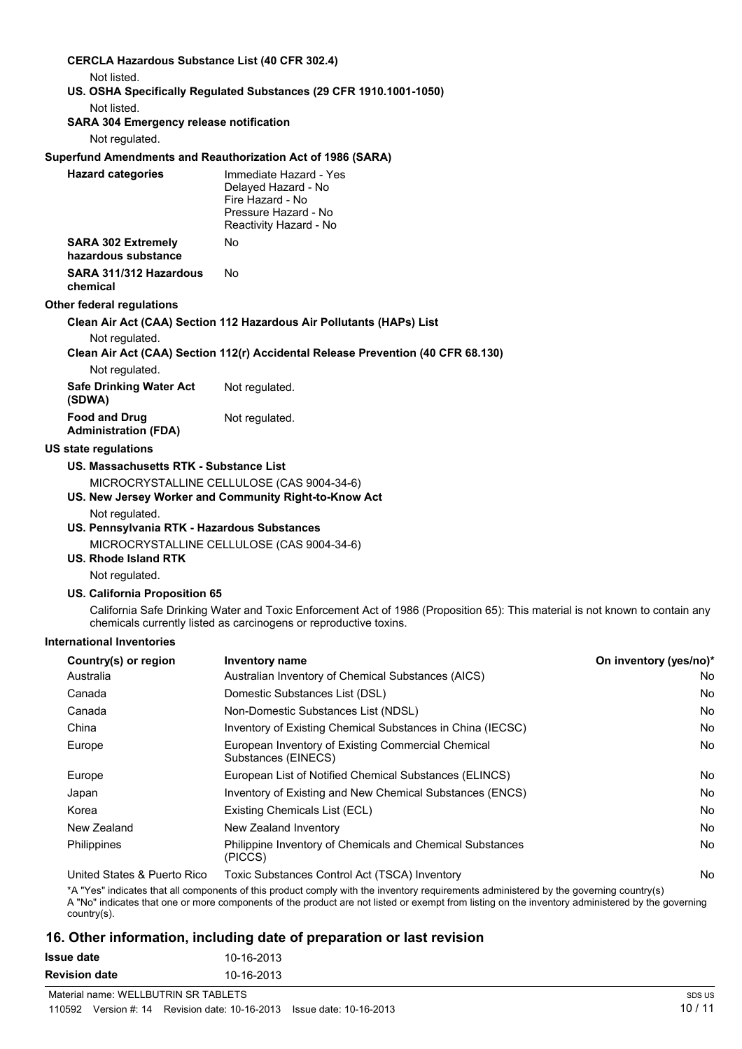| <b>CERCLA Hazardous Substance List (40 CFR 302.4)</b> |                                                                                                                                                                                                   |                        |
|-------------------------------------------------------|---------------------------------------------------------------------------------------------------------------------------------------------------------------------------------------------------|------------------------|
| Not listed.                                           |                                                                                                                                                                                                   |                        |
|                                                       | US. OSHA Specifically Regulated Substances (29 CFR 1910.1001-1050)                                                                                                                                |                        |
| Not listed.                                           |                                                                                                                                                                                                   |                        |
| <b>SARA 304 Emergency release notification</b>        |                                                                                                                                                                                                   |                        |
| Not regulated.                                        |                                                                                                                                                                                                   |                        |
|                                                       | Superfund Amendments and Reauthorization Act of 1986 (SARA)                                                                                                                                       |                        |
| <b>Hazard categories</b>                              | Immediate Hazard - Yes<br>Delayed Hazard - No<br>Fire Hazard - No<br>Pressure Hazard - No<br>Reactivity Hazard - No                                                                               |                        |
| <b>SARA 302 Extremely</b><br>hazardous substance      | No                                                                                                                                                                                                |                        |
| SARA 311/312 Hazardous<br>chemical                    | No.                                                                                                                                                                                               |                        |
| Other federal regulations                             |                                                                                                                                                                                                   |                        |
|                                                       | Clean Air Act (CAA) Section 112 Hazardous Air Pollutants (HAPs) List                                                                                                                              |                        |
| Not regulated.                                        | Clean Air Act (CAA) Section 112(r) Accidental Release Prevention (40 CFR 68.130)                                                                                                                  |                        |
| Not regulated.                                        |                                                                                                                                                                                                   |                        |
| <b>Safe Drinking Water Act</b><br>(SDWA)              | Not regulated.                                                                                                                                                                                    |                        |
| <b>Food and Drug</b><br><b>Administration (FDA)</b>   | Not regulated.                                                                                                                                                                                    |                        |
| <b>US state regulations</b>                           |                                                                                                                                                                                                   |                        |
| US. Massachusetts RTK - Substance List                |                                                                                                                                                                                                   |                        |
|                                                       | MICROCRYSTALLINE CELLULOSE (CAS 9004-34-6)                                                                                                                                                        |                        |
|                                                       | US. New Jersey Worker and Community Right-to-Know Act                                                                                                                                             |                        |
| Not regulated.                                        |                                                                                                                                                                                                   |                        |
| US. Pennsylvania RTK - Hazardous Substances           | MICROCRYSTALLINE CELLULOSE (CAS 9004-34-6)                                                                                                                                                        |                        |
| US. Rhode Island RTK                                  |                                                                                                                                                                                                   |                        |
| Not regulated.                                        |                                                                                                                                                                                                   |                        |
| <b>US. California Proposition 65</b>                  |                                                                                                                                                                                                   |                        |
|                                                       | California Safe Drinking Water and Toxic Enforcement Act of 1986 (Proposition 65): This material is not known to contain any<br>chemicals currently listed as carcinogens or reproductive toxins. |                        |
| <b>International Inventories</b>                      |                                                                                                                                                                                                   |                        |
| Country(s) or region                                  | Inventory name                                                                                                                                                                                    | On inventory (yes/no)* |
| Australia                                             | Australian Inventory of Chemical Substances (AICS)                                                                                                                                                | No                     |
| Canada                                                | Domestic Substances List (DSL)                                                                                                                                                                    | No                     |
| Canada                                                | Non-Domestic Substances List (NDSL)                                                                                                                                                               | No                     |

| Ausu ana                    | Adolf allah Throntony of Onchlical Oddolaricco (ATOO)                     | 1 Y V        |
|-----------------------------|---------------------------------------------------------------------------|--------------|
| Canada                      | Domestic Substances List (DSL)                                            | No           |
| Canada                      | Non-Domestic Substances List (NDSL)                                       | No           |
| China                       | Inventory of Existing Chemical Substances in China (IECSC)                | No           |
| Europe                      | European Inventory of Existing Commercial Chemical<br>Substances (EINECS) | No           |
| Europe                      | European List of Notified Chemical Substances (ELINCS)                    | No           |
| Japan                       | Inventory of Existing and New Chemical Substances (ENCS)                  | No           |
| Korea                       | Existing Chemicals List (ECL)                                             | No           |
| New Zealand                 | New Zealand Inventory                                                     | No           |
| Philippines                 | Philippine Inventory of Chemicals and Chemical Substances<br>(PICCS)      | No           |
| $H = H + H + H + H + H + H$ | $T$ : Oukstanse Osptal Ast (TOOA) lausater                                | $\mathbf{A}$ |

United States & Puerto Rico Toxic Substances Control Act (TSCA) Inventory No No

\*A "Yes" indicates that all components of this product comply with the inventory requirements administered by the governing country(s)

A "No" indicates that one or more components of the product are not listed or exempt from listing on the inventory administered by the governing country(s).

# **16. Other information, including date of preparation or last revision**

| <b>Issue date</b>    | 10-16-2013 |
|----------------------|------------|
| <b>Revision date</b> | 10-16-2013 |